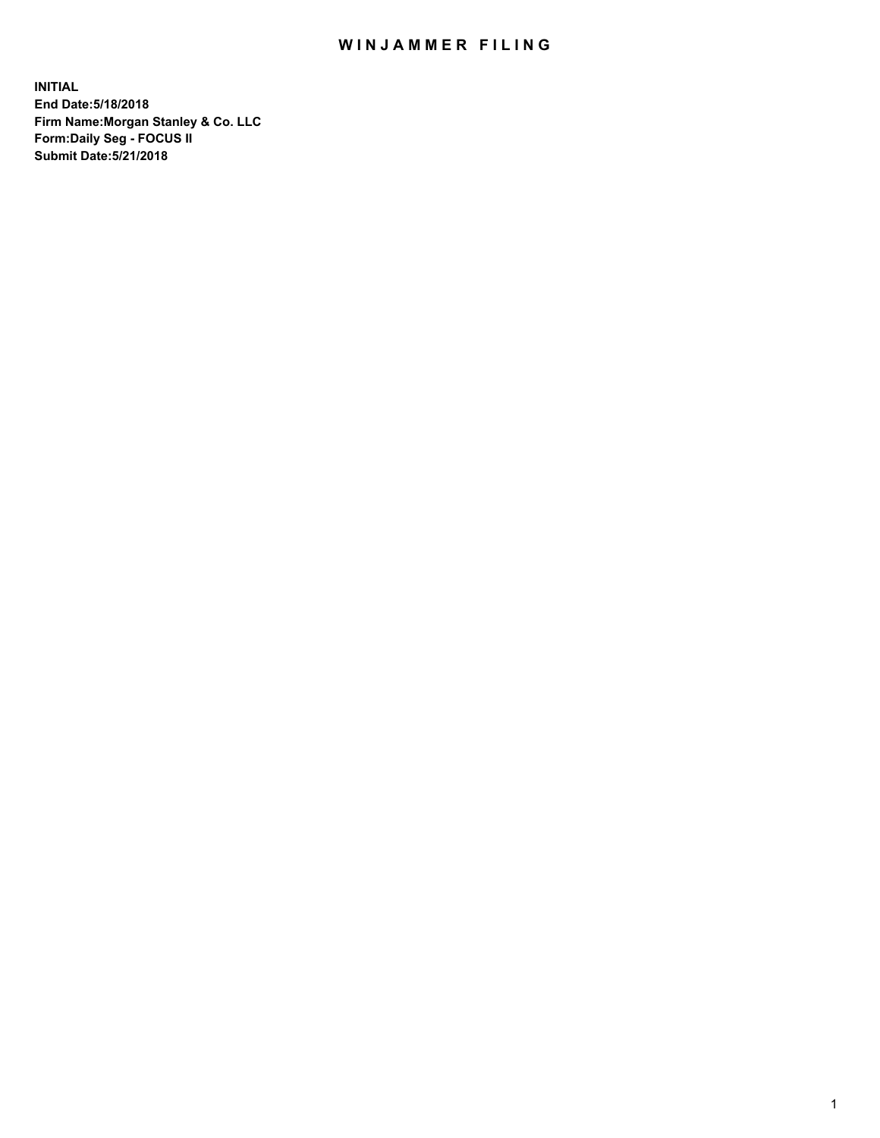## WIN JAMMER FILING

**INITIAL End Date:5/18/2018 Firm Name:Morgan Stanley & Co. LLC Form:Daily Seg - FOCUS II Submit Date:5/21/2018**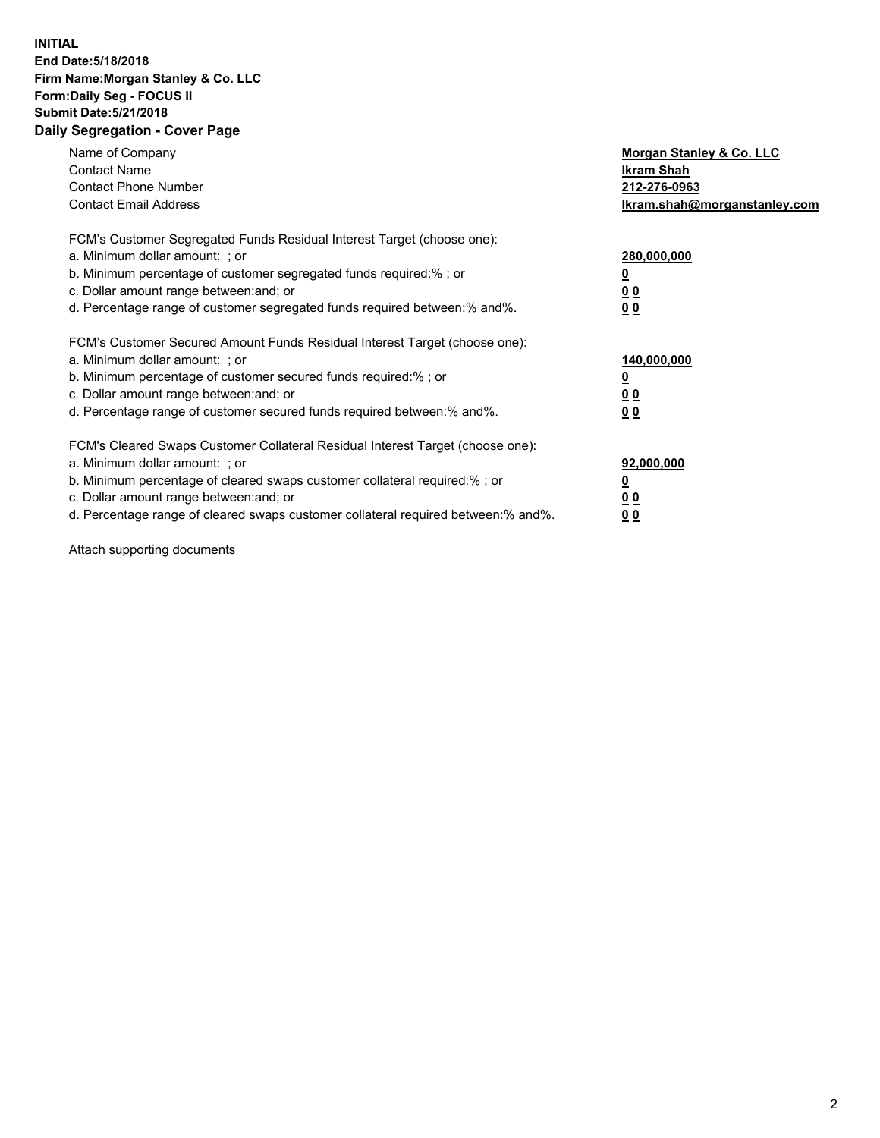## **INITIAL End Date:5/18/2018 Firm Name:Morgan Stanley & Co. LLC Form:Daily Seg - FOCUS II Submit Date:5/21/2018 Daily Segregation - Cover Page**

| Name of Company<br><b>Contact Name</b><br><b>Contact Phone Number</b><br><b>Contact Email Address</b>                                                                                                                                                                                                                         | Morgan Stanley & Co. LLC<br>Ikram Shah<br>212-276-0963<br>lkram.shah@morganstanley.com |
|-------------------------------------------------------------------------------------------------------------------------------------------------------------------------------------------------------------------------------------------------------------------------------------------------------------------------------|----------------------------------------------------------------------------------------|
| FCM's Customer Segregated Funds Residual Interest Target (choose one):<br>a. Minimum dollar amount: ; or<br>b. Minimum percentage of customer segregated funds required:%; or<br>c. Dollar amount range between: and; or<br>d. Percentage range of customer segregated funds required between:% and%.                         | 280,000,000<br>00<br>00                                                                |
| FCM's Customer Secured Amount Funds Residual Interest Target (choose one):<br>a. Minimum dollar amount: ; or<br>b. Minimum percentage of customer secured funds required:%; or<br>c. Dollar amount range between: and; or<br>d. Percentage range of customer secured funds required between:% and%.                           | 140,000,000<br>0 <sub>0</sub><br>0 <sub>0</sub>                                        |
| FCM's Cleared Swaps Customer Collateral Residual Interest Target (choose one):<br>a. Minimum dollar amount: ; or<br>b. Minimum percentage of cleared swaps customer collateral required:%; or<br>c. Dollar amount range between: and; or<br>d. Percentage range of cleared swaps customer collateral required between:% and%. | 92,000,000<br>0 <sub>0</sub><br><u>00</u>                                              |

Attach supporting documents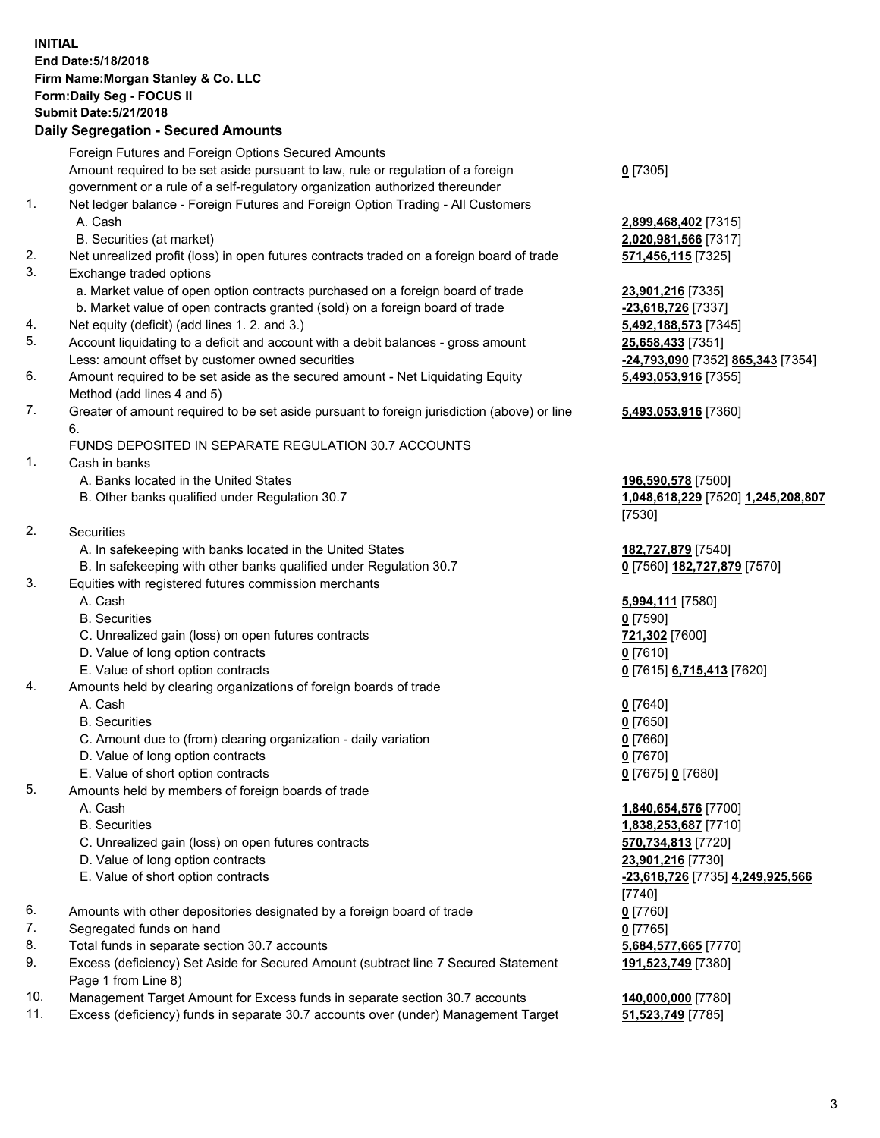## **INITIAL End Date:5/18/2018 Firm Name:Morgan Stanley & Co. LLC Form:Daily Seg - FOCUS II Submit Date:5/21/2018 Daily Segregation - Secured Amounts**

Foreign Futures and Foreign Options Secured Amounts Amount required to be set aside pursuant to law, rule or regulation of a foreign government or a rule of a self-regulatory organization authorized thereunder 1. Net ledger balance - Foreign Futures and Foreign Option Trading - All Customers A. Cash **2,899,468,402** [7315] B. Securities (at market) **2,020,981,566** [7317] 2. Net unrealized profit (loss) in open futures contracts traded on a foreign board of trade **571,456,115** [7325] 3. Exchange traded options a. Market value of open option contracts purchased on a foreign board of trade **23,901,216** [7335] b. Market value of open contracts granted (sold) on a foreign board of trade **-23,618,726** [7337] 4. Net equity (deficit) (add lines 1. 2. and 3.) **5,492,188,573** [7345] 5. Account liquidating to a deficit and account with a debit balances - gross amount **25,658,433** [7351] Less: amount offset by customer owned securities **-24,793,090** [7352] **865,343** [7354] 6. Amount required to be set aside as the secured amount - Net Liquidating Equity Method (add lines 4 and 5) 7. Greater of amount required to be set aside pursuant to foreign jurisdiction (above) or line 6. FUNDS DEPOSITED IN SEPARATE REGULATION 30.7 ACCOUNTS 1. Cash in banks A. Banks located in the United States **196,590,578** [7500] B. Other banks qualified under Regulation 30.7 **1,048,618,229** [7520] **1,245,208,807** 2. Securities A. In safekeeping with banks located in the United States **182,727,879** [7540] B. In safekeeping with other banks qualified under Regulation 30.7 **0** [7560] **182,727,879** [7570] 3. Equities with registered futures commission merchants A. Cash **5,994,111** [7580] B. Securities **0** [7590] C. Unrealized gain (loss) on open futures contracts **721,302** [7600] D. Value of long option contracts **0** [7610] E. Value of short option contracts **0** [7615] **6,715,413** [7620] 4. Amounts held by clearing organizations of foreign boards of trade A. Cash **0** [7640] B. Securities **0** [7650] C. Amount due to (from) clearing organization - daily variation **0** [7660] D. Value of long option contracts **0** [7670] E. Value of short option contracts **0** [7675] **0** [7680] 5. Amounts held by members of foreign boards of trade A. Cash **1,840,654,576** [7700] B. Securities **1,838,253,687** [7710] C. Unrealized gain (loss) on open futures contracts **570,734,813** [7720]

- D. Value of long option contracts **23,901,216** [7730]
- E. Value of short option contracts **-23,618,726** [7735] **4,249,925,566**
- 6. Amounts with other depositories designated by a foreign board of trade **0** [7760]
- 7. Segregated funds on hand **0** [7765]
- 8. Total funds in separate section 30.7 accounts **5,684,577,665** [7770]
- 9. Excess (deficiency) Set Aside for Secured Amount (subtract line 7 Secured Statement Page 1 from Line 8)
- 10. Management Target Amount for Excess funds in separate section 30.7 accounts **140,000,000** [7780]
- 11. Excess (deficiency) funds in separate 30.7 accounts over (under) Management Target **51,523,749** [7785]

**0** [7305]

**5,493,053,916** [7355]

## **5,493,053,916** [7360]

[7530]

[7740] **191,523,749** [7380]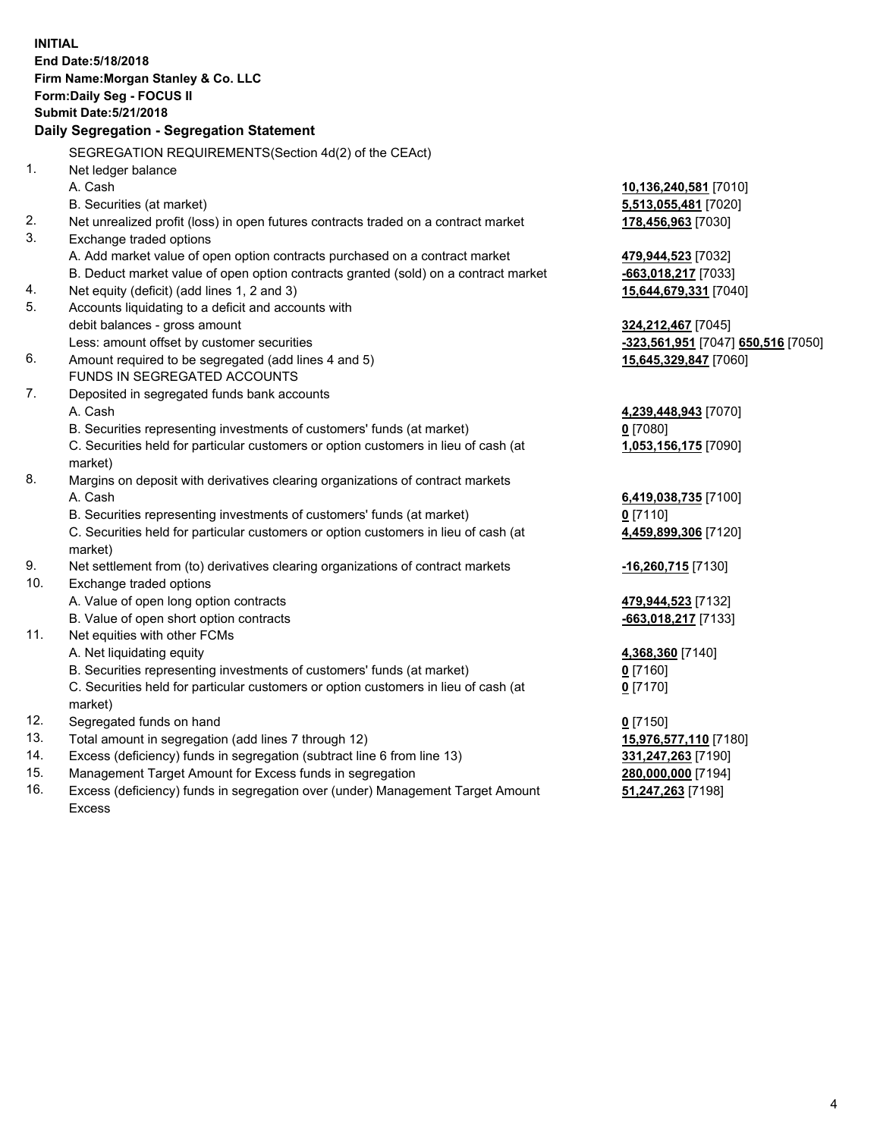**INITIAL End Date:5/18/2018 Firm Name:Morgan Stanley & Co. LLC Form:Daily Seg - FOCUS II Submit Date:5/21/2018 Daily Segregation - Segregation Statement** SEGREGATION REQUIREMENTS(Section 4d(2) of the CEAct) 1. Net ledger balance A. Cash **10,136,240,581** [7010] B. Securities (at market) **5,513,055,481** [7020] 2. Net unrealized profit (loss) in open futures contracts traded on a contract market **178,456,963** [7030] 3. Exchange traded options A. Add market value of open option contracts purchased on a contract market **479,944,523** [7032] B. Deduct market value of open option contracts granted (sold) on a contract market **-663,018,217** [7033] 4. Net equity (deficit) (add lines 1, 2 and 3) **15,644,679,331** [7040] 5. Accounts liquidating to a deficit and accounts with debit balances - gross amount **324,212,467** [7045] Less: amount offset by customer securities **-323,561,951** [7047] **650,516** [7050] 6. Amount required to be segregated (add lines 4 and 5) **15,645,329,847** [7060] FUNDS IN SEGREGATED ACCOUNTS 7. Deposited in segregated funds bank accounts A. Cash **4,239,448,943** [7070] B. Securities representing investments of customers' funds (at market) **0** [7080] C. Securities held for particular customers or option customers in lieu of cash (at market) **1,053,156,175** [7090] 8. Margins on deposit with derivatives clearing organizations of contract markets A. Cash **6,419,038,735** [7100] B. Securities representing investments of customers' funds (at market) **0** [7110] C. Securities held for particular customers or option customers in lieu of cash (at market) **4,459,899,306** [7120] 9. Net settlement from (to) derivatives clearing organizations of contract markets **-16,260,715** [7130] 10. Exchange traded options A. Value of open long option contracts **479,944,523** [7132] B. Value of open short option contracts **-663,018,217** [7133] 11. Net equities with other FCMs A. Net liquidating equity **4,368,360** [7140] B. Securities representing investments of customers' funds (at market) **0** [7160] C. Securities held for particular customers or option customers in lieu of cash (at market) **0** [7170] 12. Segregated funds on hand **0** [7150] 13. Total amount in segregation (add lines 7 through 12) **15,976,577,110** [7180] 14. Excess (deficiency) funds in segregation (subtract line 6 from line 13) **331,247,263** [7190] 15. Management Target Amount for Excess funds in segregation **280,000,000** [7194]

16. Excess (deficiency) funds in segregation over (under) Management Target Amount Excess

**51,247,263** [7198]